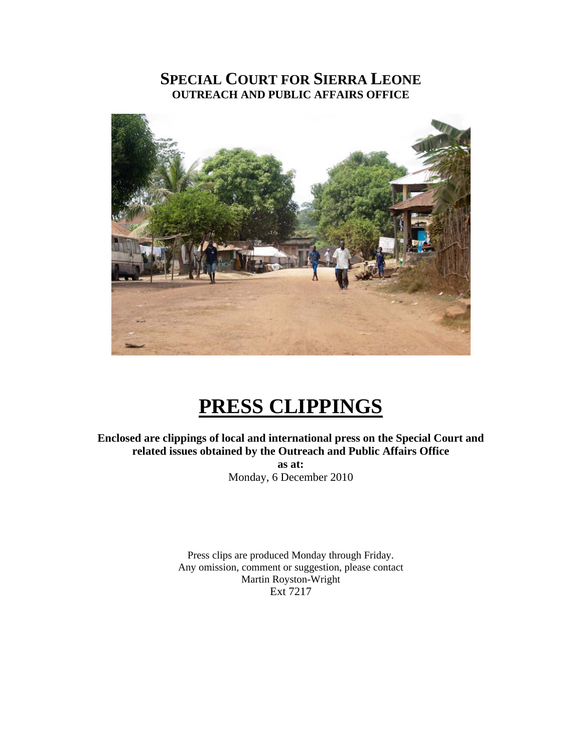#### **SPECIAL COURT FOR SIERRA LEONE OUTREACH AND PUBLIC AFFAIRS OFFICE**



## **PRESS CLIPPINGS**

**Enclosed are clippings of local and international press on the Special Court and related issues obtained by the Outreach and Public Affairs Office as at:**  Monday, 6 December 2010

> Press clips are produced Monday through Friday. Any omission, comment or suggestion, please contact Martin Royston-Wright Ext 7217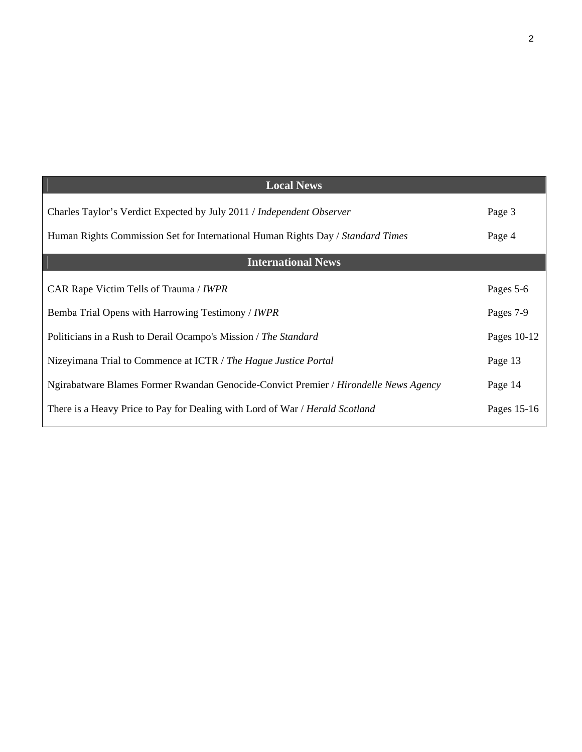| <b>Local News</b>                                                                    |             |
|--------------------------------------------------------------------------------------|-------------|
| Charles Taylor's Verdict Expected by July 2011 / Independent Observer                | Page 3      |
| Human Rights Commission Set for International Human Rights Day / Standard Times      | Page 4      |
| <b>International News</b>                                                            |             |
| CAR Rape Victim Tells of Trauma / IWPR                                               | Pages 5-6   |
| Bemba Trial Opens with Harrowing Testimony / IWPR                                    | Pages 7-9   |
| Politicians in a Rush to Derail Ocampo's Mission / The Standard                      | Pages 10-12 |
| Nizeyimana Trial to Commence at ICTR / The Hague Justice Portal                      | Page 13     |
| Ngirabatware Blames Former Rwandan Genocide-Convict Premier / Hirondelle News Agency | Page 14     |
| There is a Heavy Price to Pay for Dealing with Lord of War / Herald Scotland         | Pages 15-16 |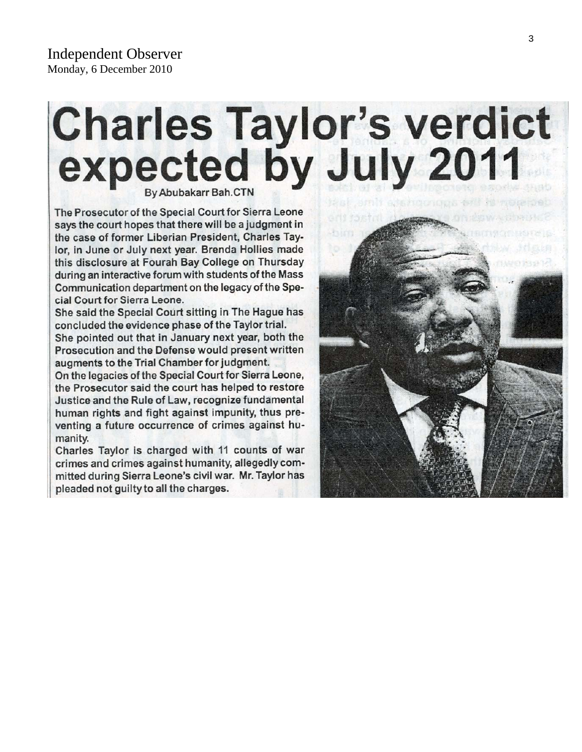# Charles Taylor's verdict<br>expected by July 2011

The Prosecutor of the Special Court for Sierra Leone says the court hopes that there will be a judgment in the case of former Liberian President, Charles Taylor, in June or July next year. Brenda Hollies made this disclosure at Fourah Bay College on Thursday during an interactive forum with students of the Mass Communication department on the legacy of the Special Court for Sierra Leone.

She said the Special Court sitting in The Hague has concluded the evidence phase of the Taylor trial.

She pointed out that in January next year, both the Prosecution and the Defense would present written augments to the Trial Chamber for judgment.

On the legacies of the Special Court for Sierra Leone, the Prosecutor said the court has helped to restore Justice and the Rule of Law, recognize fundamental human rights and fight against impunity, thus preventing a future occurrence of crimes against humanity.

Charles Taylor is charged with 11 counts of war crimes and crimes against humanity, allegedly committed during Sierra Leone's civil war. Mr. Taylor has pleaded not guilty to all the charges.

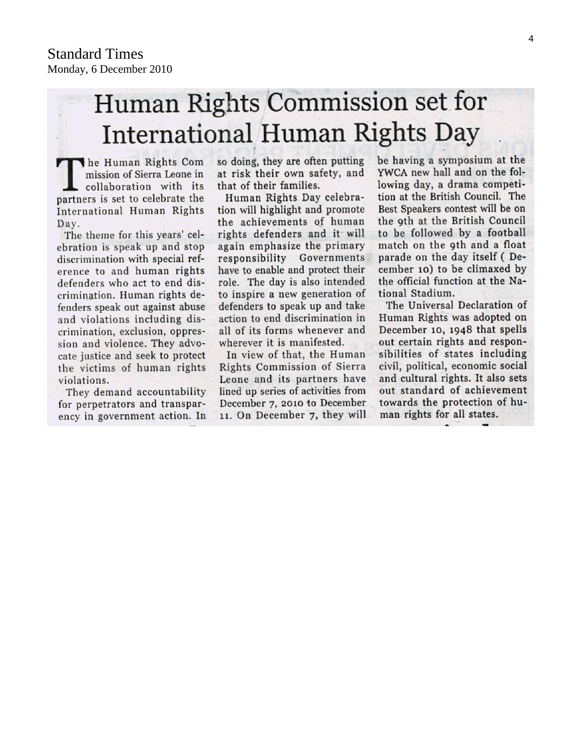# Human Rights Commission set for **International Human Rights Day**

The Human Rights Com mission of Sierra Leone in collaboration with its partners is set to celebrate the International Human Rights Day.

The theme for this years' celebration is speak up and stop discrimination with special reference to and human rights defenders who act to end discrimination. Human rights defenders speak out against abuse and violations including discrimination, exclusion, oppression and violence. They advocate justice and seek to protect the victims of human rights violations.

They demand accountability for perpetrators and transparency in government action. In so doing, they are often putting at risk their own safety, and that of their families.

Human Rights Day celebration will highlight and promote the achievements of human rights defenders and it will again emphasize the primary responsibility Governments have to enable and protect their role. The day is also intended to inspire a new generation of defenders to speak up and take action to end discrimination in all of its forms whenever and wherever it is manifested.

In view of that, the Human Rights Commission of Sierra Leone and its partners have lined up series of activities from December 7, 2010 to December 11. On December 7, they will be having a symposium at the YWCA new hall and on the following day, a drama competition at the British Council. The Best Speakers contest will be on the 9th at the British Council to be followed by a football match on the 9th and a float parade on the day itself (December 10) to be climaxed by the official function at the National Stadium.

The Universal Declaration of Human Rights was adopted on December 10, 1948 that spells out certain rights and responsibilities of states including civil, political, economic social and cultural rights. It also sets out standard of achievement towards the protection of human rights for all states.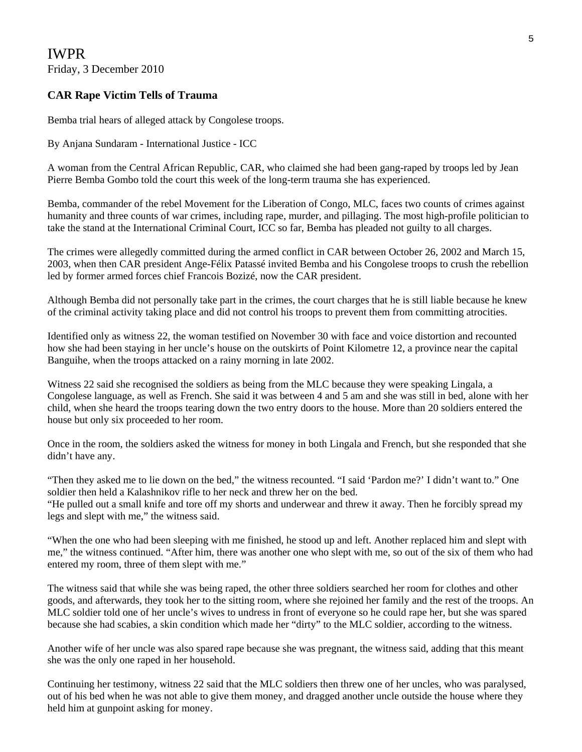IWPR Friday, 3 December 2010

#### **CAR Rape Victim Tells of Trauma**

Bemba trial hears of alleged attack by Congolese troops.

By Anjana Sundaram - International Justice - ICC

A woman from the Central African Republic, CAR, who claimed she had been gang-raped by troops led by Jean Pierre Bemba Gombo told the court this week of the long-term trauma she has experienced.

Bemba, commander of the rebel Movement for the Liberation of Congo, MLC, faces two counts of crimes against humanity and three counts of war crimes, including rape, murder, and pillaging. The most high-profile politician to take the stand at the International Criminal Court, ICC so far, Bemba has pleaded not guilty to all charges.

The crimes were allegedly committed during the armed conflict in CAR between October 26, 2002 and March 15, 2003, when then CAR president Ange-Félix Patassé invited Bemba and his Congolese troops to crush the rebellion led by former armed forces chief Francois Bozizé, now the CAR president.

Although Bemba did not personally take part in the crimes, the court charges that he is still liable because he knew of the criminal activity taking place and did not control his troops to prevent them from committing atrocities.

Identified only as witness 22, the woman testified on November 30 with face and voice distortion and recounted how she had been staying in her uncle's house on the outskirts of Point Kilometre 12, a province near the capital Banguihe, when the troops attacked on a rainy morning in late 2002.

Witness 22 said she recognised the soldiers as being from the MLC because they were speaking Lingala, a Congolese language, as well as French. She said it was between 4 and 5 am and she was still in bed, alone with her child, when she heard the troops tearing down the two entry doors to the house. More than 20 soldiers entered the house but only six proceeded to her room.

Once in the room, the soldiers asked the witness for money in both Lingala and French, but she responded that she didn't have any.

"Then they asked me to lie down on the bed," the witness recounted. "I said 'Pardon me?' I didn't want to." One soldier then held a Kalashnikov rifle to her neck and threw her on the bed. "He pulled out a small knife and tore off my shorts and underwear and threw it away. Then he forcibly spread my legs and slept with me," the witness said.

"When the one who had been sleeping with me finished, he stood up and left. Another replaced him and slept with me," the witness continued. "After him, there was another one who slept with me, so out of the six of them who had entered my room, three of them slept with me."

The witness said that while she was being raped, the other three soldiers searched her room for clothes and other goods, and afterwards, they took her to the sitting room, where she rejoined her family and the rest of the troops. An MLC soldier told one of her uncle's wives to undress in front of everyone so he could rape her, but she was spared because she had scabies, a skin condition which made her "dirty" to the MLC soldier, according to the witness.

Another wife of her uncle was also spared rape because she was pregnant, the witness said, adding that this meant she was the only one raped in her household.

Continuing her testimony, witness 22 said that the MLC soldiers then threw one of her uncles, who was paralysed, out of his bed when he was not able to give them money, and dragged another uncle outside the house where they held him at gunpoint asking for money.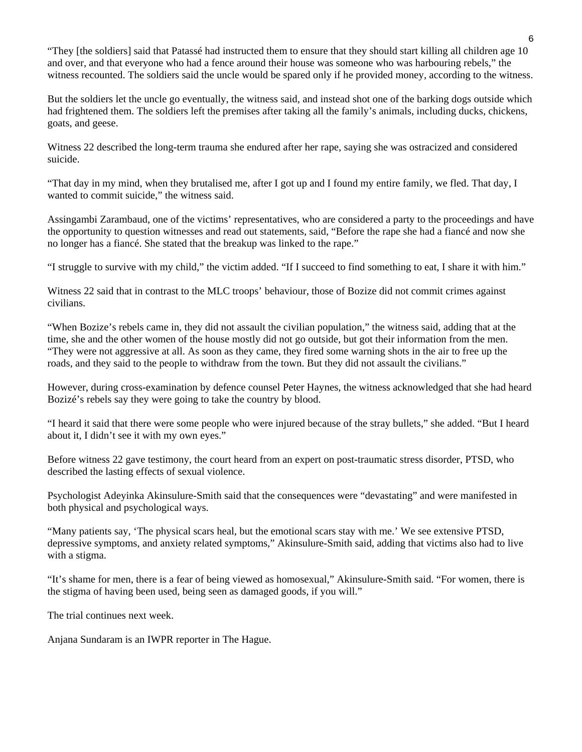"They [the soldiers] said that Patassé had instructed them to ensure that they should start killing all children age 10 and over, and that everyone who had a fence around their house was someone who was harbouring rebels," the witness recounted. The soldiers said the uncle would be spared only if he provided money, according to the witness.

But the soldiers let the uncle go eventually, the witness said, and instead shot one of the barking dogs outside which had frightened them. The soldiers left the premises after taking all the family's animals, including ducks, chickens, goats, and geese.

Witness 22 described the long-term trauma she endured after her rape, saying she was ostracized and considered suicide.

"That day in my mind, when they brutalised me, after I got up and I found my entire family, we fled. That day, I wanted to commit suicide," the witness said.

Assingambi Zarambaud, one of the victims' representatives, who are considered a party to the proceedings and have the opportunity to question witnesses and read out statements, said, "Before the rape she had a fiancé and now she no longer has a fiancé. She stated that the breakup was linked to the rape."

"I struggle to survive with my child," the victim added. "If I succeed to find something to eat, I share it with him."

Witness 22 said that in contrast to the MLC troops' behaviour, those of Bozize did not commit crimes against civilians.

"When Bozize's rebels came in, they did not assault the civilian population," the witness said, adding that at the time, she and the other women of the house mostly did not go outside, but got their information from the men. "They were not aggressive at all. As soon as they came, they fired some warning shots in the air to free up the roads, and they said to the people to withdraw from the town. But they did not assault the civilians."

However, during cross-examination by defence counsel Peter Haynes, the witness acknowledged that she had heard Bozizé's rebels say they were going to take the country by blood.

"I heard it said that there were some people who were injured because of the stray bullets," she added. "But I heard about it, I didn't see it with my own eyes."

Before witness 22 gave testimony, the court heard from an expert on post-traumatic stress disorder, PTSD, who described the lasting effects of sexual violence.

Psychologist Adeyinka Akinsulure-Smith said that the consequences were "devastating" and were manifested in both physical and psychological ways.

"Many patients say, 'The physical scars heal, but the emotional scars stay with me.' We see extensive PTSD, depressive symptoms, and anxiety related symptoms," Akinsulure-Smith said, adding that victims also had to live with a stigma.

"It's shame for men, there is a fear of being viewed as homosexual," Akinsulure-Smith said. "For women, there is the stigma of having been used, being seen as damaged goods, if you will."

The trial continues next week.

Anjana Sundaram is an IWPR reporter in The Hague.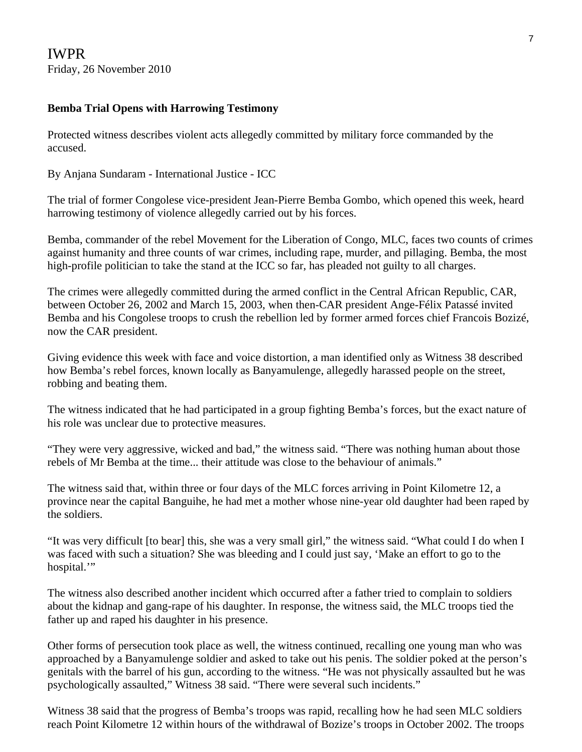#### **Bemba Trial Opens with Harrowing Testimony**

Protected witness describes violent acts allegedly committed by military force commanded by the accused.

By Anjana Sundaram - International Justice - ICC

The trial of former Congolese vice-president Jean-Pierre Bemba Gombo, which opened this week, heard harrowing testimony of violence allegedly carried out by his forces.

Bemba, commander of the rebel Movement for the Liberation of Congo, MLC, faces two counts of crimes against humanity and three counts of war crimes, including rape, murder, and pillaging. Bemba, the most high-profile politician to take the stand at the ICC so far, has pleaded not guilty to all charges.

The crimes were allegedly committed during the armed conflict in the Central African Republic, CAR, between October 26, 2002 and March 15, 2003, when then-CAR president Ange-Félix Patassé invited Bemba and his Congolese troops to crush the rebellion led by former armed forces chief Francois Bozizé, now the CAR president.

Giving evidence this week with face and voice distortion, a man identified only as Witness 38 described how Bemba's rebel forces, known locally as Banyamulenge, allegedly harassed people on the street, robbing and beating them.

The witness indicated that he had participated in a group fighting Bemba's forces, but the exact nature of his role was unclear due to protective measures.

"They were very aggressive, wicked and bad," the witness said. "There was nothing human about those rebels of Mr Bemba at the time... their attitude was close to the behaviour of animals."

The witness said that, within three or four days of the MLC forces arriving in Point Kilometre 12, a province near the capital Banguihe, he had met a mother whose nine-year old daughter had been raped by the soldiers.

"It was very difficult [to bear] this, she was a very small girl," the witness said. "What could I do when I was faced with such a situation? She was bleeding and I could just say, 'Make an effort to go to the hospital."

The witness also described another incident which occurred after a father tried to complain to soldiers about the kidnap and gang-rape of his daughter. In response, the witness said, the MLC troops tied the father up and raped his daughter in his presence.

Other forms of persecution took place as well, the witness continued, recalling one young man who was approached by a Banyamulenge soldier and asked to take out his penis. The soldier poked at the person's genitals with the barrel of his gun, according to the witness. "He was not physically assaulted but he was psychologically assaulted," Witness 38 said. "There were several such incidents."

Witness 38 said that the progress of Bemba's troops was rapid, recalling how he had seen MLC soldiers reach Point Kilometre 12 within hours of the withdrawal of Bozize's troops in October 2002. The troops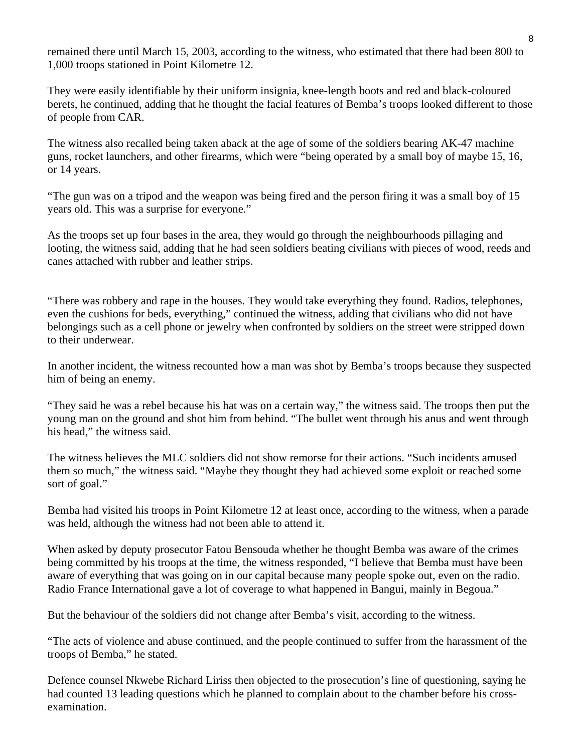remained there until March 15, 2003, according to the witness, who estimated that there had been 800 to 1,000 troops stationed in Point Kilometre 12.

They were easily identifiable by their uniform insignia, knee-length boots and red and black-coloured berets, he continued, adding that he thought the facial features of Bemba's troops looked different to those of people from CAR.

The witness also recalled being taken aback at the age of some of the soldiers bearing AK-47 machine guns, rocket launchers, and other firearms, which were "being operated by a small boy of maybe 15, 16, or 14 years.

"The gun was on a tripod and the weapon was being fired and the person firing it was a small boy of 15 years old. This was a surprise for everyone."

As the troops set up four bases in the area, they would go through the neighbourhoods pillaging and looting, the witness said, adding that he had seen soldiers beating civilians with pieces of wood, reeds and canes attached with rubber and leather strips.

"There was robbery and rape in the houses. They would take everything they found. Radios, telephones, even the cushions for beds, everything," continued the witness, adding that civilians who did not have belongings such as a cell phone or jewelry when confronted by soldiers on the street were stripped down to their underwear.

In another incident, the witness recounted how a man was shot by Bemba's troops because they suspected him of being an enemy.

"They said he was a rebel because his hat was on a certain way," the witness said. The troops then put the young man on the ground and shot him from behind. "The bullet went through his anus and went through his head," the witness said.

The witness believes the MLC soldiers did not show remorse for their actions. "Such incidents amused them so much," the witness said. "Maybe they thought they had achieved some exploit or reached some sort of goal."

Bemba had visited his troops in Point Kilometre 12 at least once, according to the witness, when a parade was held, although the witness had not been able to attend it.

When asked by deputy prosecutor Fatou Bensouda whether he thought Bemba was aware of the crimes being committed by his troops at the time, the witness responded, "I believe that Bemba must have been aware of everything that was going on in our capital because many people spoke out, even on the radio. Radio France International gave a lot of coverage to what happened in Bangui, mainly in Begoua."

But the behaviour of the soldiers did not change after Bemba's visit, according to the witness.

"The acts of violence and abuse continued, and the people continued to suffer from the harassment of the troops of Bemba," he stated.

Defence counsel Nkwebe Richard Liriss then objected to the prosecution's line of questioning, saying he had counted 13 leading questions which he planned to complain about to the chamber before his crossexamination.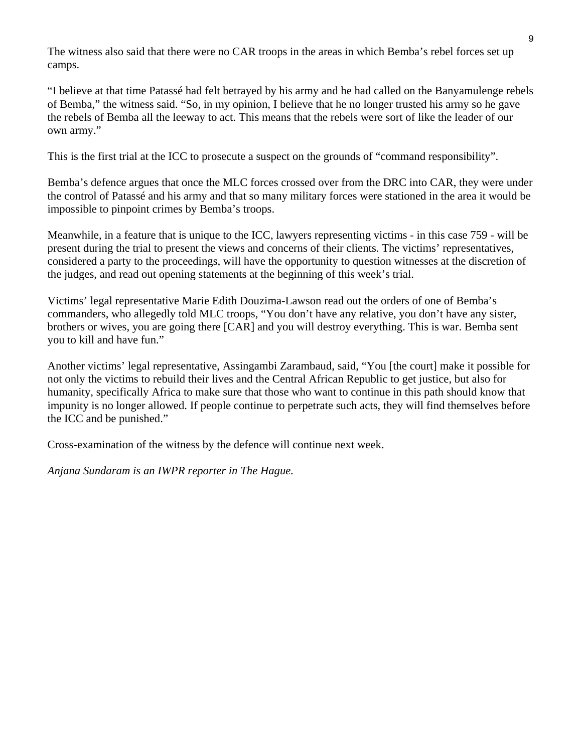The witness also said that there were no CAR troops in the areas in which Bemba's rebel forces set up camps.

"I believe at that time Patassé had felt betrayed by his army and he had called on the Banyamulenge rebels of Bemba," the witness said. "So, in my opinion, I believe that he no longer trusted his army so he gave the rebels of Bemba all the leeway to act. This means that the rebels were sort of like the leader of our own army."

This is the first trial at the ICC to prosecute a suspect on the grounds of "command responsibility".

Bemba's defence argues that once the MLC forces crossed over from the DRC into CAR, they were under the control of Patassé and his army and that so many military forces were stationed in the area it would be impossible to pinpoint crimes by Bemba's troops.

Meanwhile, in a feature that is unique to the ICC, lawyers representing victims - in this case 759 - will be present during the trial to present the views and concerns of their clients. The victims' representatives, considered a party to the proceedings, will have the opportunity to question witnesses at the discretion of the judges, and read out opening statements at the beginning of this week's trial.

Victims' legal representative Marie Edith Douzima-Lawson read out the orders of one of Bemba's commanders, who allegedly told MLC troops, "You don't have any relative, you don't have any sister, brothers or wives, you are going there [CAR] and you will destroy everything. This is war. Bemba sent you to kill and have fun."

Another victims' legal representative, Assingambi Zarambaud, said, "You [the court] make it possible for not only the victims to rebuild their lives and the Central African Republic to get justice, but also for humanity, specifically Africa to make sure that those who want to continue in this path should know that impunity is no longer allowed. If people continue to perpetrate such acts, they will find themselves before the ICC and be punished."

Cross-examination of the witness by the defence will continue next week.

*Anjana Sundaram is an IWPR reporter in The Hague.*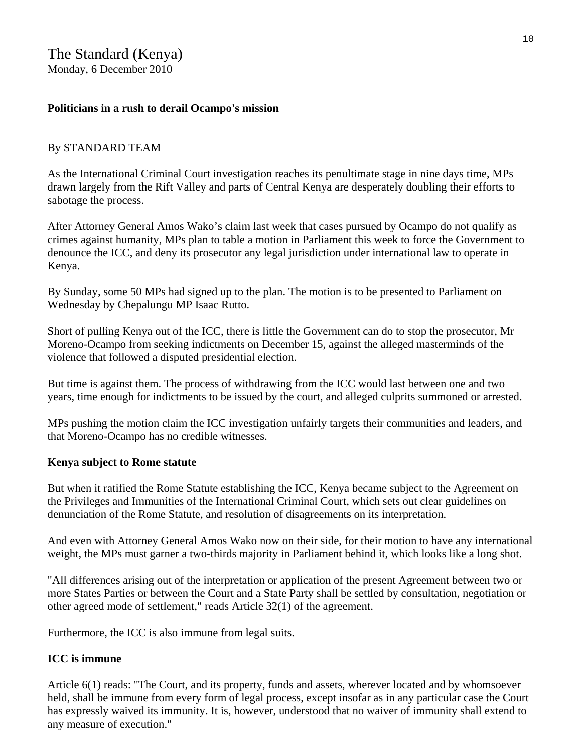#### **Politicians in a rush to derail Ocampo's mission**

#### By STANDARD TEAM

As the International Criminal Court investigation reaches its penultimate stage in nine days time, MPs drawn largely from the Rift Valley and parts of Central Kenya are desperately doubling their efforts to sabotage the process.

After Attorney General Amos Wako's claim last week that cases pursued by Ocampo do not qualify as crimes against humanity, MPs plan to table a motion in Parliament this week to force the Government to denounce the ICC, and deny its prosecutor any legal jurisdiction under international law to operate in Kenya.

By Sunday, some 50 MPs had signed up to the plan. The motion is to be presented to Parliament on Wednesday by Chepalungu MP Isaac Rutto.

Short of pulling Kenya out of the ICC, there is little the Government can do to stop the prosecutor, Mr Moreno-Ocampo from seeking indictments on December 15, against the alleged masterminds of the violence that followed a disputed presidential election.

But time is against them. The process of withdrawing from the ICC would last between one and two years, time enough for indictments to be issued by the court, and alleged culprits summoned or arrested.

MPs pushing the motion claim the ICC investigation unfairly targets their communities and leaders, and that Moreno-Ocampo has no credible witnesses.

#### **Kenya subject to Rome statute**

But when it ratified the Rome Statute establishing the ICC, Kenya became subject to the Agreement on the Privileges and Immunities of the International Criminal Court, which sets out clear guidelines on denunciation of the Rome Statute, and resolution of disagreements on its interpretation.

And even with Attorney General Amos Wako now on their side, for their motion to have any international weight, the MPs must garner a two-thirds majority in Parliament behind it, which looks like a long shot.

"All differences arising out of the interpretation or application of the present Agreement between two or more States Parties or between the Court and a State Party shall be settled by consultation, negotiation or other agreed mode of settlement," reads Article 32(1) of the agreement.

Furthermore, the ICC is also immune from legal suits.

#### **ICC is immune**

Article 6(1) reads: "The Court, and its property, funds and assets, wherever located and by whomsoever held, shall be immune from every form of legal process, except insofar as in any particular case the Court has expressly waived its immunity. It is, however, understood that no waiver of immunity shall extend to any measure of execution."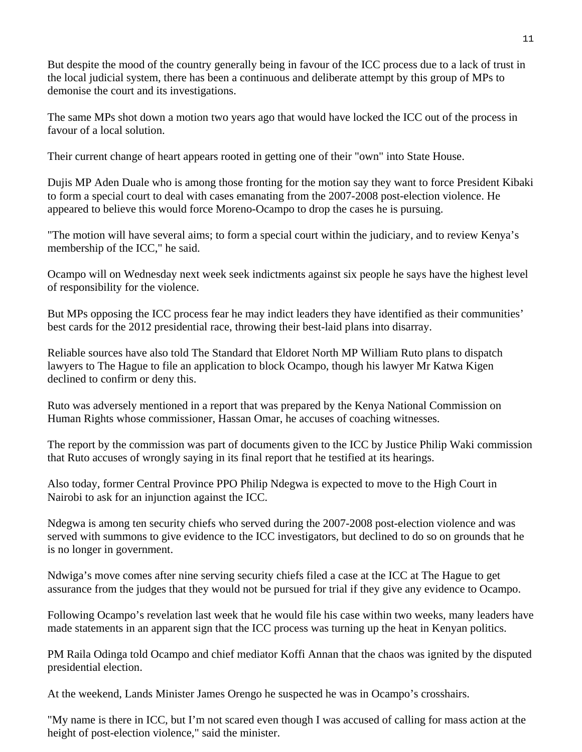But despite the mood of the country generally being in favour of the ICC process due to a lack of trust in the local judicial system, there has been a continuous and deliberate attempt by this group of MPs to demonise the court and its investigations.

The same MPs shot down a motion two years ago that would have locked the ICC out of the process in favour of a local solution.

Their current change of heart appears rooted in getting one of their "own" into State House.

Dujis MP Aden Duale who is among those fronting for the motion say they want to force President Kibaki to form a special court to deal with cases emanating from the 2007-2008 post-election violence. He appeared to believe this would force Moreno-Ocampo to drop the cases he is pursuing.

"The motion will have several aims; to form a special court within the judiciary, and to review Kenya's membership of the ICC," he said.

Ocampo will on Wednesday next week seek indictments against six people he says have the highest level of responsibility for the violence.

But MPs opposing the ICC process fear he may indict leaders they have identified as their communities' best cards for the 2012 presidential race, throwing their best-laid plans into disarray.

Reliable sources have also told The Standard that Eldoret North MP William Ruto plans to dispatch lawyers to The Hague to file an application to block Ocampo, though his lawyer Mr Katwa Kigen declined to confirm or deny this.

Ruto was adversely mentioned in a report that was prepared by the Kenya National Commission on Human Rights whose commissioner, Hassan Omar, he accuses of coaching witnesses.

The report by the commission was part of documents given to the ICC by Justice Philip Waki commission that Ruto accuses of wrongly saying in its final report that he testified at its hearings.

Also today, former Central Province PPO Philip Ndegwa is expected to move to the High Court in Nairobi to ask for an injunction against the ICC.

Ndegwa is among ten security chiefs who served during the 2007-2008 post-election violence and was served with summons to give evidence to the ICC investigators, but declined to do so on grounds that he is no longer in government.

Ndwiga's move comes after nine serving security chiefs filed a case at the ICC at The Hague to get assurance from the judges that they would not be pursued for trial if they give any evidence to Ocampo.

Following Ocampo's revelation last week that he would file his case within two weeks, many leaders have made statements in an apparent sign that the ICC process was turning up the heat in Kenyan politics.

PM Raila Odinga told Ocampo and chief mediator Koffi Annan that the chaos was ignited by the disputed presidential election.

At the weekend, Lands Minister James Orengo he suspected he was in Ocampo's crosshairs.

"My name is there in ICC, but I'm not scared even though I was accused of calling for mass action at the height of post-election violence," said the minister.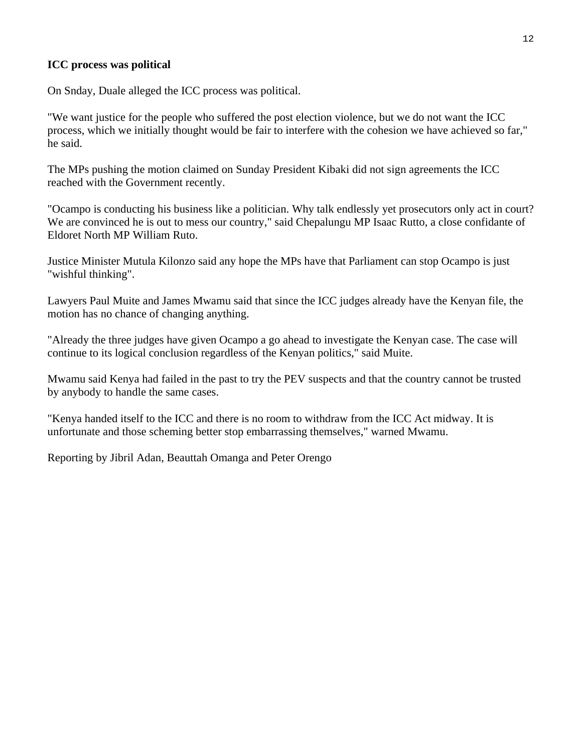#### **ICC process was political**

On Snday, Duale alleged the ICC process was political.

"We want justice for the people who suffered the post election violence, but we do not want the ICC process, which we initially thought would be fair to interfere with the cohesion we have achieved so far," he said.

The MPs pushing the motion claimed on Sunday President Kibaki did not sign agreements the ICC reached with the Government recently.

"Ocampo is conducting his business like a politician. Why talk endlessly yet prosecutors only act in court? We are convinced he is out to mess our country," said Chepalungu MP Isaac Rutto, a close confidante of Eldoret North MP William Ruto.

Justice Minister Mutula Kilonzo said any hope the MPs have that Parliament can stop Ocampo is just "wishful thinking".

Lawyers Paul Muite and James Mwamu said that since the ICC judges already have the Kenyan file, the motion has no chance of changing anything.

"Already the three judges have given Ocampo a go ahead to investigate the Kenyan case. The case will continue to its logical conclusion regardless of the Kenyan politics," said Muite.

Mwamu said Kenya had failed in the past to try the PEV suspects and that the country cannot be trusted by anybody to handle the same cases.

"Kenya handed itself to the ICC and there is no room to withdraw from the ICC Act midway. It is unfortunate and those scheming better stop embarrassing themselves," warned Mwamu.

Reporting by Jibril Adan, Beauttah Omanga and Peter Orengo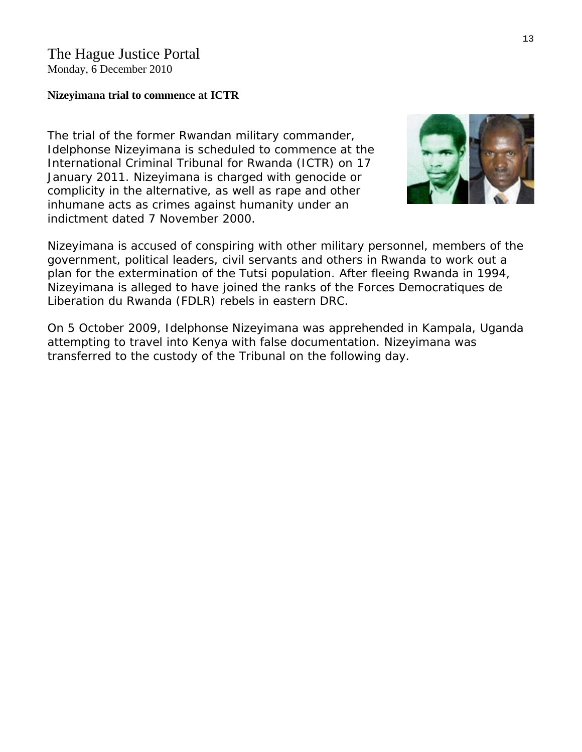#### **Nizeyimana trial to commence at ICTR**

The trial of the former Rwandan military commander, [Idelphonse Nizeyimana](http://www.haguejusticeportal.net/eCache/DEF/10/497.html) is scheduled to commence at the International Criminal Tribunal for Rwanda (ICTR) on 17 January 2011. Nizeyimana is charged with genocide or complicity in the alternative, as well as rape and other inhumane acts as crimes against humanity under an indictment dated 7 November 2000.



Nizeyimana is accused of conspiring with other military personnel, members of the government, political leaders, civil servants and others in Rwanda to work out a plan for the extermination of the Tutsi population. After fleeing Rwanda in 1994, Nizeyimana is alleged to have joined the ranks of the *Forces Democratiques de Liberation du Rwanda* (FDLR) rebels in eastern DRC.

On 5 October 2009, Idelphonse Nizeyimana was apprehended in Kampala, Uganda attempting to travel into Kenya with false documentation. Nizeyimana was transferred to the custody of the Tribunal on the following day.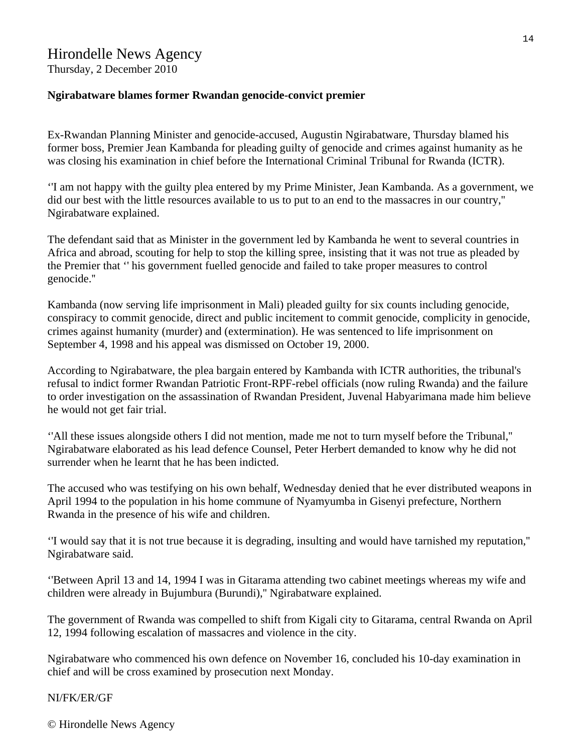### Hirondelle News Agency

Thursday, 2 December 2010

#### **Ngirabatware blames former Rwandan genocide-convict premier**

Ex-Rwandan Planning Minister and genocide-accused, Augustin Ngirabatware, Thursday blamed his former boss, Premier Jean Kambanda for pleading guilty of genocide and crimes against humanity as he was closing his examination in chief before the International Criminal Tribunal for Rwanda (ICTR).

''I am not happy with the guilty plea entered by my Prime Minister, Jean Kambanda. As a government, we did our best with the little resources available to us to put to an end to the massacres in our country,'' Ngirabatware explained.

The defendant said that as Minister in the government led by Kambanda he went to several countries in Africa and abroad, scouting for help to stop the killing spree, insisting that it was not true as pleaded by the Premier that '' his government fuelled genocide and failed to take proper measures to control genocide.''

Kambanda (now serving life imprisonment in Mali) pleaded guilty for six counts including genocide, conspiracy to commit genocide, direct and public incitement to commit genocide, complicity in genocide, crimes against humanity (murder) and (extermination). He was sentenced to life imprisonment on September 4, 1998 and his appeal was dismissed on October 19, 2000.

According to Ngirabatware, the plea bargain entered by Kambanda with ICTR authorities, the tribunal's refusal to indict former Rwandan Patriotic Front-RPF-rebel officials (now ruling Rwanda) and the failure to order investigation on the assassination of Rwandan President, Juvenal Habyarimana made him believe he would not get fair trial.

''All these issues alongside others I did not mention, made me not to turn myself before the Tribunal,'' Ngirabatware elaborated as his lead defence Counsel, Peter Herbert demanded to know why he did not surrender when he learnt that he has been indicted.

The accused who was testifying on his own behalf, Wednesday denied that he ever distributed weapons in April 1994 to the population in his home commune of Nyamyumba in Gisenyi prefecture, Northern Rwanda in the presence of his wife and children.

''I would say that it is not true because it is degrading, insulting and would have tarnished my reputation,'' Ngirabatware said.

''Between April 13 and 14, 1994 I was in Gitarama attending two cabinet meetings whereas my wife and children were already in Bujumbura (Burundi),'' Ngirabatware explained.

The government of Rwanda was compelled to shift from Kigali city to Gitarama, central Rwanda on April 12, 1994 following escalation of massacres and violence in the city.

Ngirabatware who commenced his own defence on November 16, concluded his 10-day examination in chief and will be cross examined by prosecution next Monday.

#### NI/FK/ER/GF

© Hirondelle News Agency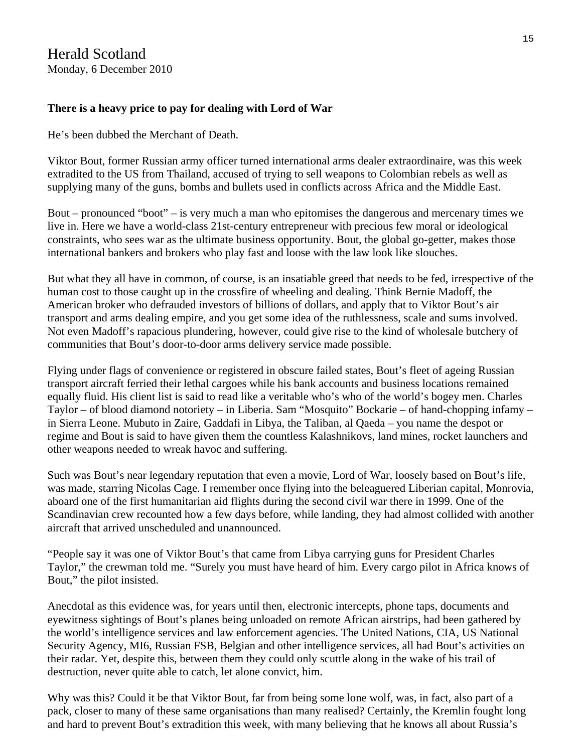#### **There is a heavy price to pay for dealing with Lord of War**

He's been dubbed the Merchant of Death.

Viktor Bout, former Russian army officer turned international arms dealer extraordinaire, was this week extradited to the US from Thailand, accused of trying to sell weapons to Colombian rebels as well as supplying many of the guns, bombs and bullets used in conflicts across Africa and the Middle East.

Bout – pronounced "boot" – is very much a man who epitomises the dangerous and mercenary times we live in. Here we have a world-class 21st-century entrepreneur with precious few moral or ideological constraints, who sees war as the ultimate business opportunity. Bout, the global go-getter, makes those international bankers and brokers who play fast and loose with the law look like slouches.

But what they all have in common, of course, is an insatiable greed that needs to be fed, irrespective of the human cost to those caught up in the crossfire of wheeling and dealing. Think Bernie Madoff, the American broker who defrauded investors of billions of dollars, and apply that to Viktor Bout's air transport and arms dealing empire, and you get some idea of the ruthlessness, scale and sums involved. Not even Madoff's rapacious plundering, however, could give rise to the kind of wholesale butchery of communities that Bout's door-to-door arms delivery service made possible.

Flying under flags of convenience or registered in obscure failed states, Bout's fleet of ageing Russian transport aircraft ferried their lethal cargoes while his bank accounts and business locations remained equally fluid. His client list is said to read like a veritable who's who of the world's bogey men. Charles Taylor – of blood diamond notoriety – in Liberia. Sam "Mosquito" Bockarie – of hand-chopping infamy – in Sierra Leone. Mubuto in Zaire, Gaddafi in Libya, the Taliban, al Qaeda – you name the despot or regime and Bout is said to have given them the countless Kalashnikovs, land mines, rocket launchers and other weapons needed to wreak havoc and suffering.

Such was Bout's near legendary reputation that even a movie, Lord of War, loosely based on Bout's life, was made, starring Nicolas Cage. I remember once flying into the beleaguered Liberian capital, Monrovia, aboard one of the first humanitarian aid flights during the second civil war there in 1999. One of the Scandinavian crew recounted how a few days before, while landing, they had almost collided with another aircraft that arrived unscheduled and unannounced.

"People say it was one of Viktor Bout's that came from Libya carrying guns for President Charles Taylor," the crewman told me. "Surely you must have heard of him. Every cargo pilot in Africa knows of Bout," the pilot insisted.

Anecdotal as this evidence was, for years until then, electronic intercepts, phone taps, documents and eyewitness sightings of Bout's planes being unloaded on remote African airstrips, had been gathered by the world's intelligence services and law enforcement agencies. The United Nations, CIA, US National Security Agency, MI6, Russian FSB, Belgian and other intelligence services, all had Bout's activities on their radar. Yet, despite this, between them they could only scuttle along in the wake of his trail of destruction, never quite able to catch, let alone convict, him.

Why was this? Could it be that Viktor Bout, far from being some lone wolf, was, in fact, also part of a pack, closer to many of these same organisations than many realised? Certainly, the Kremlin fought long and hard to prevent Bout's extradition this week, with many believing that he knows all about Russia's